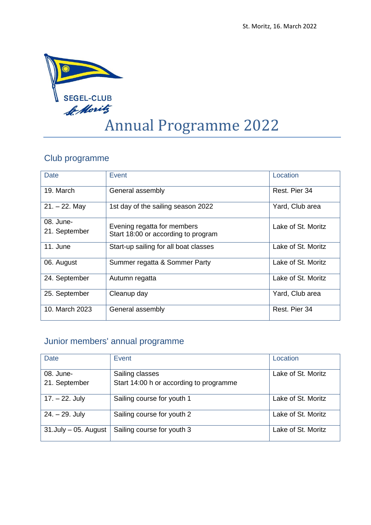

# Annual Programme 2022

### Club programme

| Date                       | Event                                                              | Location           |
|----------------------------|--------------------------------------------------------------------|--------------------|
| 19. March                  | General assembly                                                   | Rest. Pier 34      |
| $21. - 22.$ May            | 1st day of the sailing season 2022                                 | Yard, Club area    |
| 08. June-<br>21. September | Evening regatta for members<br>Start 18:00 or according to program | Lake of St. Moritz |
| 11. June                   | Start-up sailing for all boat classes                              | Lake of St. Moritz |
| 06. August                 | Summer regatta & Sommer Party                                      | Lake of St. Moritz |
| 24. September              | Autumn regatta                                                     | Lake of St. Moritz |
| 25. September              | Cleanup day                                                        | Yard, Club area    |
| 10. March 2023             | General assembly                                                   | Rest. Pier 34      |

## Junior members' annual programme

| <b>Date</b>                | Event                                   | Location           |
|----------------------------|-----------------------------------------|--------------------|
| 08. June-                  | Sailing classes                         | Lake of St. Moritz |
| 21. September              | Start 14:00 h or according to programme |                    |
| $17. - 22.$ July           | Sailing course for youth 1              | Lake of St. Moritz |
| $24. - 29.$ July           | Sailing course for youth 2              | Lake of St. Moritz |
| $31$ . July $-05$ . August | Sailing course for youth 3              | Lake of St. Moritz |